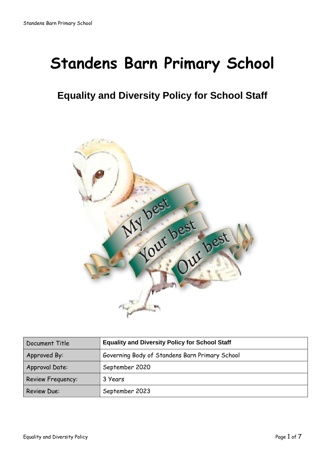# **Standens Barn Primary School**

# **Equality and Diversity Policy for School Staff**



| Document Title     | <b>Equality and Diversity Policy for School Staff</b> |
|--------------------|-------------------------------------------------------|
| Approved By:       | Governing Body of Standens Barn Primary School        |
| Approval Date:     | September 2020                                        |
| Review Frequency:  | 3 Years                                               |
| <b>Review Due:</b> | September 2023                                        |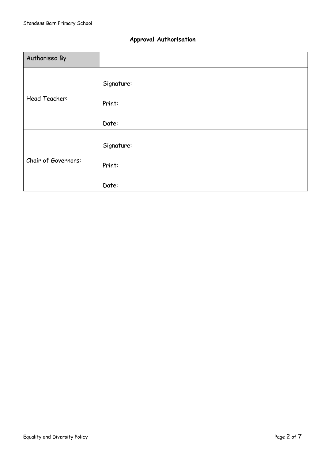#### **Approval Authorisation**

| Authorised By       |                      |
|---------------------|----------------------|
| Head Teacher:       | Signature:<br>Print: |
|                     | Date:                |
| Chair of Governors: | Signature:           |
|                     | Print:               |
|                     | Date:                |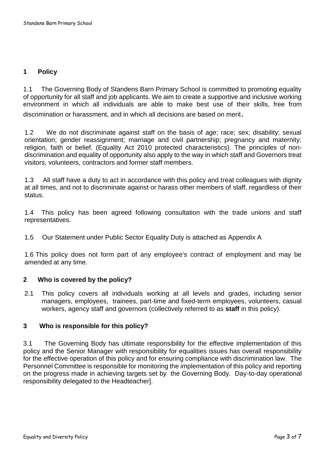### **1 Policy**

1.1 The Governing Body of Standens Barn Primary School is committed to promoting equality of opportunity for all staff and job applicants. We aim to create a supportive and inclusive working environment in which all individuals are able to make best use of their skills, free from discrimination or harassment, and in which all decisions are based on merit.

1.2 We do not discriminate against staff on the basis of age; race; sex; disability; sexual orientation; gender reassignment; marriage and civil partnership; pregnancy and maternity; religion, faith or belief. (Equality Act 2010 protected characteristics). The principles of nondiscrimination and equality of opportunity also apply to the way in which staff and Governors treat visitors, volunteers, contractors and former staff members.

1.3 All staff have a duty to act in accordance with this policy and treat colleagues with dignity at all times, and not to discriminate against or harass other members of staff, regardless of their status.

1.4 This policy has been agreed following consultation with the trade unions and staff representatives.

1.5 Our Statement under Public Sector Equality Duty is attached as Appendix A

1.6 This policy does not form part of any employee's contract of employment and may be amended at any time.

#### **2 Who is covered by the policy?**

2.1 This policy covers all individuals working at all levels and grades, including senior managers, employees, trainees, part-time and fixed-term employees, volunteers, casual workers, agency staff and governors (collectively referred to as **staff** in this policy).

#### **3 Who is responsible for this policy?**

3.1 The Governing Body has ultimate responsibility for the effective implementation of this policy and the Senior Manager with responsibility for equalities issues has overall responsibility for the effective operation of this policy and for ensuring compliance with discrimination law. The Personnel Committee is responsible for monitoring the implementation of this policy and reporting on the progress made in achieving targets set by the Governing Body. Day-to-day operational responsibility delegated to the Headteacher].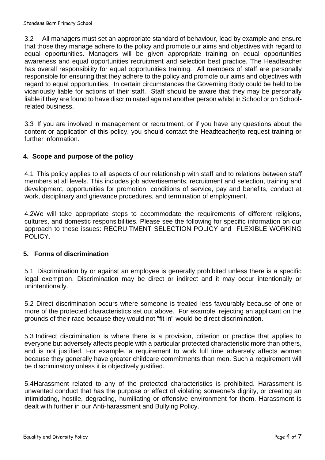3.2 All managers must set an appropriate standard of behaviour, lead by example and ensure that those they manage adhere to the policy and promote our aims and objectives with regard to equal opportunities. Managers will be given appropriate training on equal opportunities awareness and equal opportunities recruitment and selection best practice. The Headteacher has overall responsibility for equal opportunities training. All members of staff are personally responsible for ensuring that they adhere to the policy and promote our aims and objectives with regard to equal opportunities. In certain circumstances the Governing Body could be held to be vicariously liable for actions of their staff. Staff should be aware that they may be personally liable if they are found to have discriminated against another person whilst in School or on Schoolrelated business.

3.3 If you are involved in management or recruitment, or if you have any questions about the content or application of this policy, you should contact the Headteacher[to request training or further information.

# **4. Scope and purpose of the policy**

4.1 This policy applies to all aspects of our relationship with staff and to relations between staff members at all levels. This includes job advertisements, recruitment and selection, training and development, opportunities for promotion, conditions of service, pay and benefits, conduct at work, disciplinary and grievance procedures, and termination of employment.

4.2We will take appropriate steps to accommodate the requirements of different religions, cultures, and domestic responsibilities. Please see the following for specific information on our approach to these issues: RECRUITMENT SELECTION POLICY and FLEXIBLE WORKING POLICY.

# **5. Forms of discrimination**

5.1 Discrimination by or against an employee is generally prohibited unless there is a specific legal exemption. Discrimination may be direct or indirect and it may occur intentionally or unintentionally.

5.2 Direct discrimination occurs where someone is treated less favourably because of one or more of the protected characteristics set out above. For example, rejecting an applicant on the grounds of their race because they would not "fit in" would be direct discrimination.

5.3 Indirect discrimination is where there is a provision, criterion or practice that applies to everyone but adversely affects people with a particular protected characteristic more than others, and is not justified. For example, a requirement to work full time adversely affects women because they generally have greater childcare commitments than men. Such a requirement will be discriminatory unless it is objectively justified.

5.4Harassment related to any of the protected characteristics is prohibited. Harassment is unwanted conduct that has the purpose or effect of violating someone's dignity, or creating an intimidating, hostile, degrading, humiliating or offensive environment for them. Harassment is dealt with further in our Anti-harassment and Bullying Policy.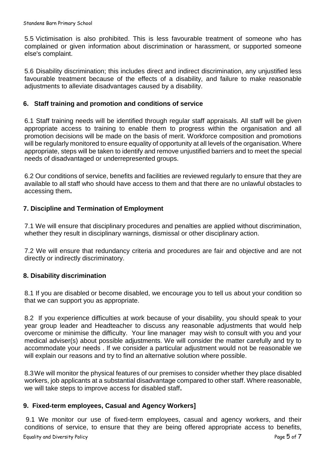5.5 Victimisation is also prohibited. This is less favourable treatment of someone who has complained or given information about discrimination or harassment, or supported someone else's complaint.

5.6 Disability discrimination; this includes direct and indirect discrimination, any unjustified less favourable treatment because of the effects of a disability, and failure to make reasonable adjustments to alleviate disadvantages caused by a disability.

#### **6. Staff training and promotion and conditions of service**

6.1 Staff training needs will be identified through regular staff appraisals. All staff will be given appropriate access to training to enable them to progress within the organisation and all promotion decisions will be made on the basis of merit. Workforce composition and promotions will be regularly monitored to ensure equality of opportunity at all levels of the organisation. Where appropriate, steps will be taken to identify and remove unjustified barriers and to meet the special needs of disadvantaged or underrepresented groups.

6.2 Our conditions of service, benefits and facilities are reviewed regularly to ensure that they are available to all staff who should have access to them and that there are no unlawful obstacles to accessing them**.**

#### **7. Discipline and Termination of Employment**

7.1 We will ensure that disciplinary procedures and penalties are applied without discrimination, whether they result in disciplinary warnings, dismissal or other disciplinary action.

7.2 We will ensure that redundancy criteria and procedures are fair and objective and are not directly or indirectly discriminatory.

#### **8. Disability discrimination**

8.1 If you are disabled or become disabled, we encourage you to tell us about your condition so that we can support you as appropriate.

8.2 If you experience difficulties at work because of your disability, you should speak to your year group leader and Headteacher to discuss any reasonable adjustments that would help overcome or minimise the difficulty. Your line manager may wish to consult with you and your medical adviser(s) about possible adjustments. We will consider the matter carefully and try to accommodate your needs . If we consider a particular adjustment would not be reasonable we will explain our reasons and try to find an alternative solution where possible.

8.3We will monitor the physical features of our premises to consider whether they place disabled workers, job applicants at a substantial disadvantage compared to other staff. Where reasonable, we will take steps to improve access for disabled staff**.**

#### **9. Fixed-term employees, Casual and Agency Workers]**

Equality and Diversity Policy Page 5 of 7 9.1 We monitor our use of fixed-term employees, casual and agency workers, and their conditions of service, to ensure that they are being offered appropriate access to benefits,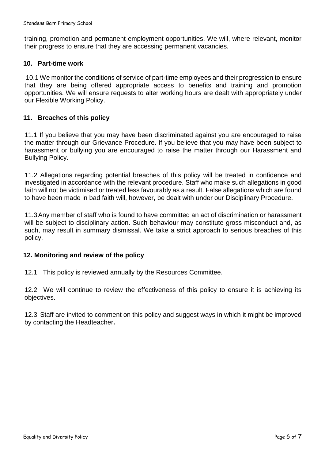training, promotion and permanent employment opportunities. We will, where relevant, monitor their progress to ensure that they are accessing permanent vacancies.

#### **10. Part-time work**

10.1 We monitor the conditions of service of part-time employees and their progression to ensure that they are being offered appropriate access to benefits and training and promotion opportunities. We will ensure requests to alter working hours are dealt with appropriately under our Flexible Working Policy.

#### **11. Breaches of this policy**

11.1 If you believe that you may have been discriminated against you are encouraged to raise the matter through our Grievance Procedure. If you believe that you may have been subject to harassment or bullying you are encouraged to raise the matter through our Harassment and Bullying Policy.

11.2 Allegations regarding potential breaches of this policy will be treated in confidence and investigated in accordance with the relevant procedure. Staff who make such allegations in good faith will not be victimised or treated less favourably as a result. False allegations which are found to have been made in bad faith will, however, be dealt with under our Disciplinary Procedure.

11.3Any member of staff who is found to have committed an act of discrimination or harassment will be subject to disciplinary action. Such behaviour may constitute gross misconduct and, as such, may result in summary dismissal. We take a strict approach to serious breaches of this policy.

#### **12. Monitoring and review of the policy**

12.1 This policy is reviewed annually by the Resources Committee.

12.2 We will continue to review the effectiveness of this policy to ensure it is achieving its objectives.

12.3 Staff are invited to comment on this policy and suggest ways in which it might be improved by contacting the Headteacher**.**